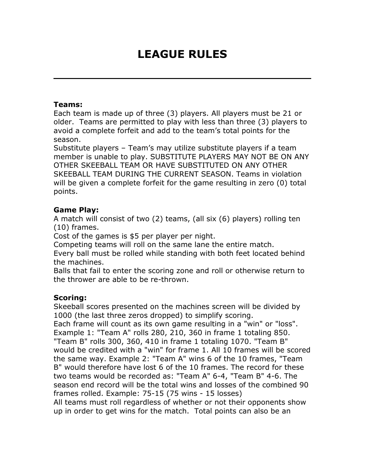# **LEAGUE RULES**

#### **Teams:**

Each team is made up of three (3) players. All players must be 21 or older. Teams are permitted to play with less than three (3) players to avoid a complete forfeit and add to the team's total points for the season.

Substitute players – Team's may utilize substitute players if a team member is unable to play. SUBSTITUTE PLAYERS MAY NOT BE ON ANY OTHER SKEEBALL TEAM OR HAVE SUBSTITUTED ON ANY OTHER SKEEBALL TEAM DURING THE CURRENT SEASON. Teams in violation will be given a complete forfeit for the game resulting in zero (0) total points.

#### **Game Play:**

A match will consist of two (2) teams, (all six (6) players) rolling ten (10) frames.

Cost of the games is \$5 per player per night.

Competing teams will roll on the same lane the entire match.

Every ball must be rolled while standing with both feet located behind the machines.

Balls that fail to enter the scoring zone and roll or otherwise return to the thrower are able to be re-thrown.

#### **Scoring:**

Skeeball scores presented on the machines screen will be divided by 1000 (the last three zeros dropped) to simplify scoring.

Each frame will count as its own game resulting in a "win" or "loss". Example 1: "Team A" rolls 280, 210, 360 in frame 1 totaling 850. "Team B" rolls 300, 360, 410 in frame 1 totaling 1070. "Team B" would be credited with a "win" for frame 1. All 10 frames will be scored the same way. Example 2: "Team A" wins 6 of the 10 frames, "Team B" would therefore have lost 6 of the 10 frames. The record for these two teams would be recorded as: "Team A" 6-4, "Team B" 4-6. The season end record will be the total wins and losses of the combined 90 frames rolled. Example: 75-15 (75 wins - 15 losses)

All teams must roll regardless of whether or not their opponents show up in order to get wins for the match. Total points can also be an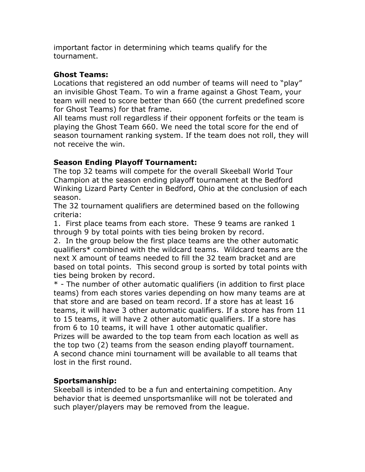important factor in determining which teams qualify for the tournament.

### **Ghost Teams:**

Locations that registered an odd number of teams will need to "play" an invisible Ghost Team. To win a frame against a Ghost Team, your team will need to score better than 660 (the current predefined score for Ghost Teams) for that frame.

All teams must roll regardless if their opponent forfeits or the team is playing the Ghost Team 660. We need the total score for the end of season tournament ranking system. If the team does not roll, they will not receive the win.

## **Season Ending Playoff Tournament:**

The top 32 teams will compete for the overall Skeeball World Tour Champion at the season ending playoff tournament at the Bedford Winking Lizard Party Center in Bedford, Ohio at the conclusion of each season.

The 32 tournament qualifiers are determined based on the following criteria:

1. First place teams from each store. These 9 teams are ranked 1 through 9 by total points with ties being broken by record.

2. In the group below the first place teams are the other automatic qualifiers\* combined with the wildcard teams. Wildcard teams are the next X amount of teams needed to fill the 32 team bracket and are based on total points. This second group is sorted by total points with ties being broken by record.

\* - The number of other automatic qualifiers (in addition to first place teams) from each stores varies depending on how many teams are at that store and are based on team record. If a store has at least 16 teams, it will have 3 other automatic qualifiers. If a store has from 11 to 15 teams, it will have 2 other automatic qualifiers. If a store has from 6 to 10 teams, it will have 1 other automatic qualifier. Prizes will be awarded to the top team from each location as well as the top two (2) teams from the season ending playoff tournament. A second chance mini tournament will be available to all teams that lost in the first round.

## **Sportsmanship:**

Skeeball is intended to be a fun and entertaining competition. Any behavior that is deemed unsportsmanlike will not be tolerated and such player/players may be removed from the league.